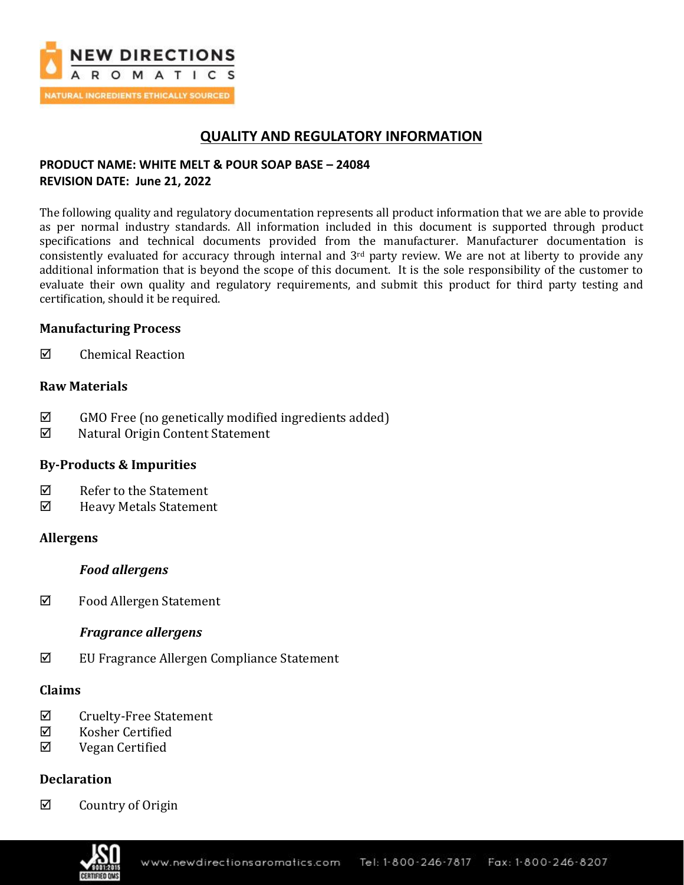

# **QUALITY AND REGULATORY INFORMATION**

## **PRODUCT NAME: WHITE MELT & POUR SOAP BASE – 24084 REVISION DATE: June 21, 2022**

The following quality and regulatory documentation represents all product information that we are able to provide as per normal industry standards. All information included in this document is supported through product specifications and technical documents provided from the manufacturer. Manufacturer documentation is consistently evaluated for accuracy through internal and  $3<sup>rd</sup>$  party review. We are not at liberty to provide any additional information that is beyond the scope of this document. It is the sole responsibility of the customer to evaluate their own quality and regulatory requirements, and submit this product for third party testing and certification, should it be required.

## **Manufacturing Process**

 $\boxtimes$  Chemical Reaction

## **Raw Materials**

- $\boxtimes$  GMO Free (no genetically modified ingredients added)
- Natural Origin Content Statement

## **By-Products & Impurities**

- $\nabla$  Refer to the Statement
- Heavy Metals Statement

## **Allergens**

## *Food allergens*

Food Allergen Statement

## *Fragrance allergens*

EU Fragrance Allergen Compliance Statement

## **Claims**

- $\boxtimes$  Cruelty-Free Statement
- Kosher Certified
- $\boxtimes$  Vegan Certified

## **Declaration**

 $\boxtimes$  Country of Origin

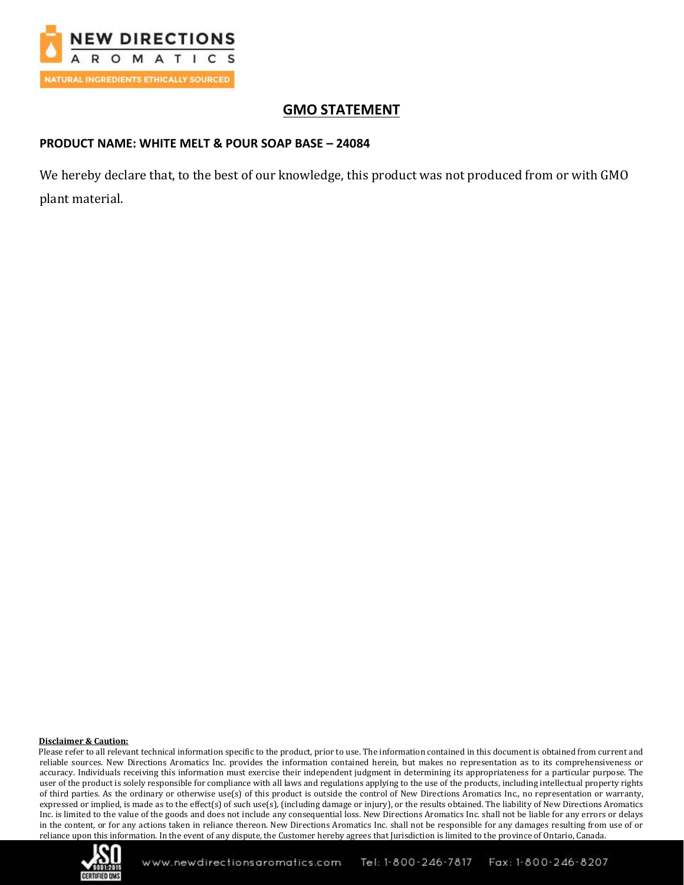

# **GMO STATEMENT**

## **PRODUCT NAME: WHITE MELT & POUR SOAP BASE – 24084**

We hereby declare that, to the best of our knowledge, this product was not produced from or with GMO plant material.

### **Disclaimer & Caution:**

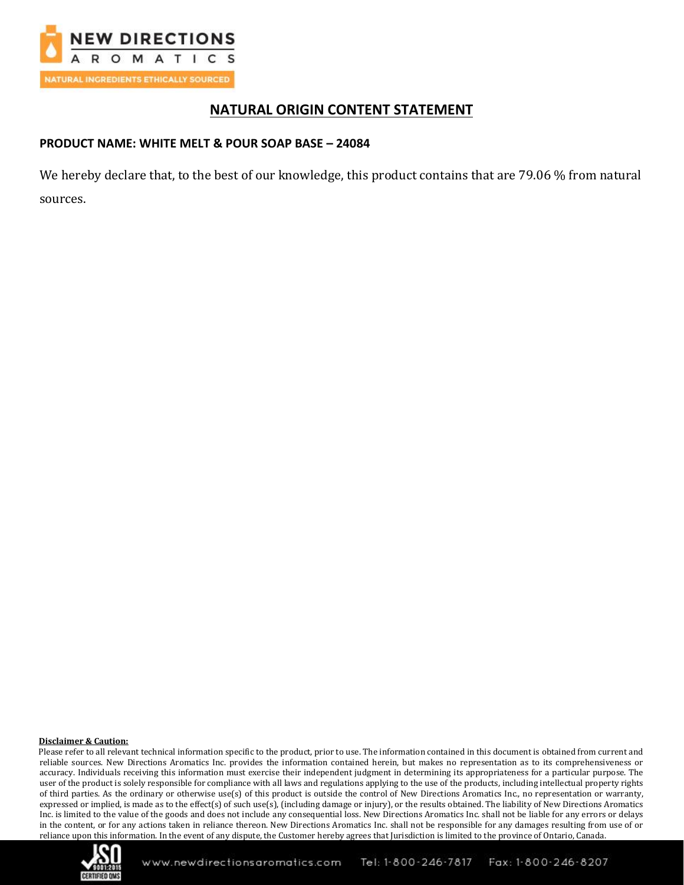

# **NATURAL ORIGIN CONTENT STATEMENT**

## **PRODUCT NAME: WHITE MELT & POUR SOAP BASE – 24084**

We hereby declare that, to the best of our knowledge, this product contains that are 79.06 % from natural sources.

### **Disclaimer & Caution:**

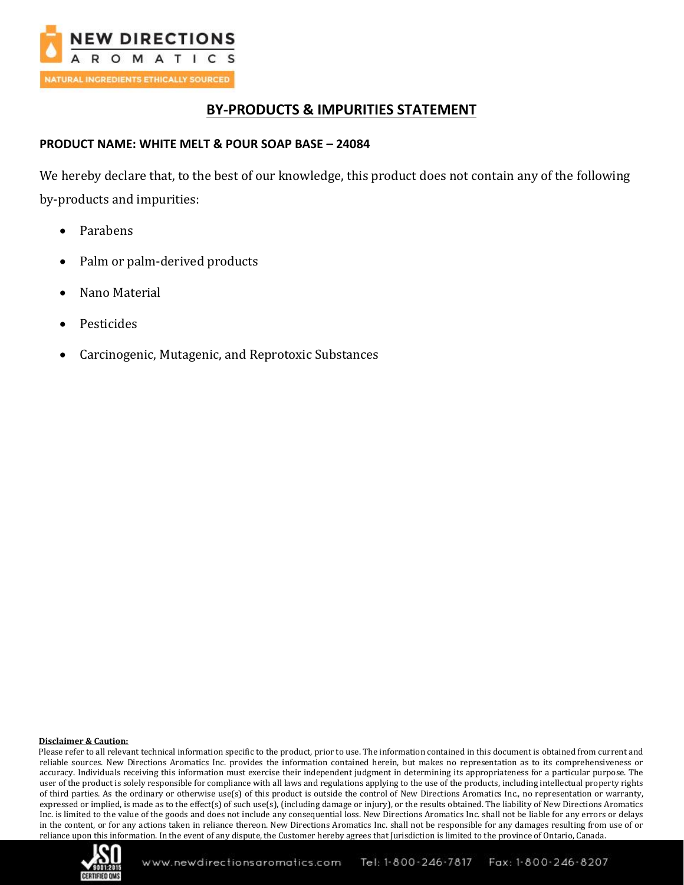

# **BY-PRODUCTS & IMPURITIES STATEMENT**

## **PRODUCT NAME: WHITE MELT & POUR SOAP BASE – 24084**

We hereby declare that, to the best of our knowledge, this product does not contain any of the following by-products and impurities:

- Parabens
- Palm or palm-derived products
- Nano Material
- Pesticides
- Carcinogenic, Mutagenic, and Reprotoxic Substances

### **Disclaimer & Caution:**

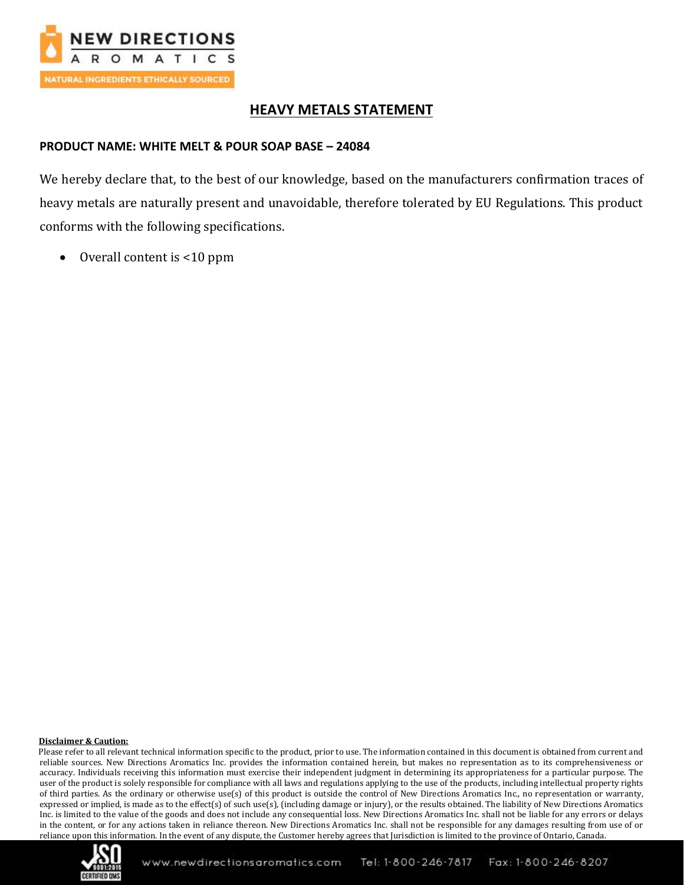

# **HEAVY METALS STATEMENT**

## **PRODUCT NAME: WHITE MELT & POUR SOAP BASE – 24084**

We hereby declare that, to the best of our knowledge, based on the manufacturers confirmation traces of heavy metals are naturally present and unavoidable, therefore tolerated by EU Regulations. This product conforms with the following specifications.

• Overall content is <10 ppm

### **Disclaimer & Caution:**

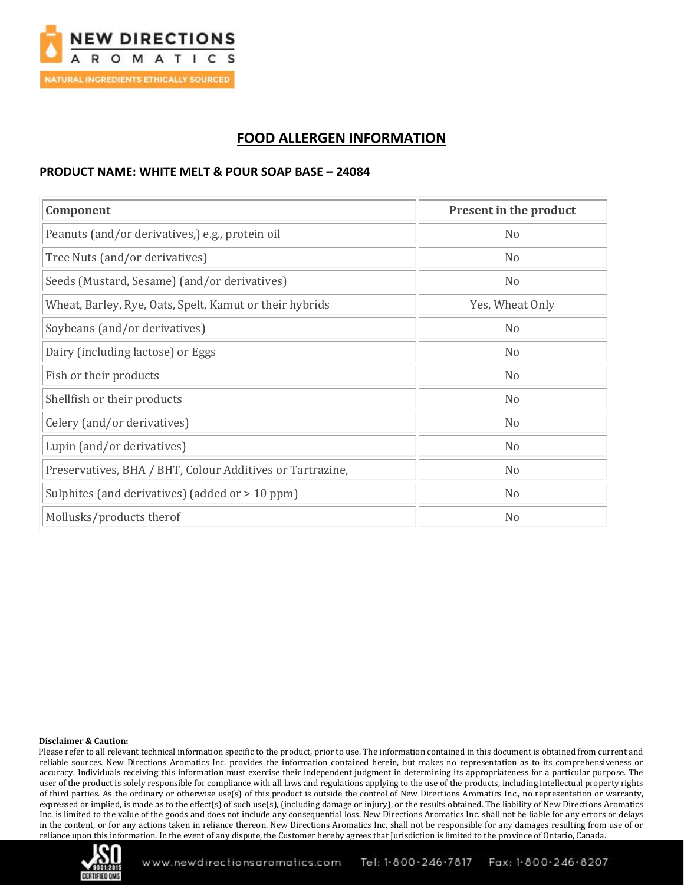

# **FOOD ALLERGEN INFORMATION**

### **PRODUCT NAME: WHITE MELT & POUR SOAP BASE – 24084**

| Component                                                 | <b>Present in the product</b> |
|-----------------------------------------------------------|-------------------------------|
| Peanuts (and/or derivatives,) e.g., protein oil           | N <sub>0</sub>                |
| Tree Nuts (and/or derivatives)                            | N <sub>0</sub>                |
| Seeds (Mustard, Sesame) (and/or derivatives)              | N <sub>o</sub>                |
| Wheat, Barley, Rye, Oats, Spelt, Kamut or their hybrids   | Yes, Wheat Only               |
| Soybeans (and/or derivatives)                             | N <sub>0</sub>                |
| Dairy (including lactose) or Eggs                         | N <sub>o</sub>                |
| Fish or their products                                    | N <sub>o</sub>                |
| Shellfish or their products                               | N <sub>o</sub>                |
| Celery (and/or derivatives)                               | N <sub>o</sub>                |
| Lupin (and/or derivatives)                                | N <sub>o</sub>                |
| Preservatives, BHA / BHT, Colour Additives or Tartrazine, | N <sub>0</sub>                |
| Sulphites (and derivatives) (added or $\geq$ 10 ppm)      | N <sub>0</sub>                |
| Mollusks/products therof                                  | N <sub>o</sub>                |

### **Disclaimer & Caution:**

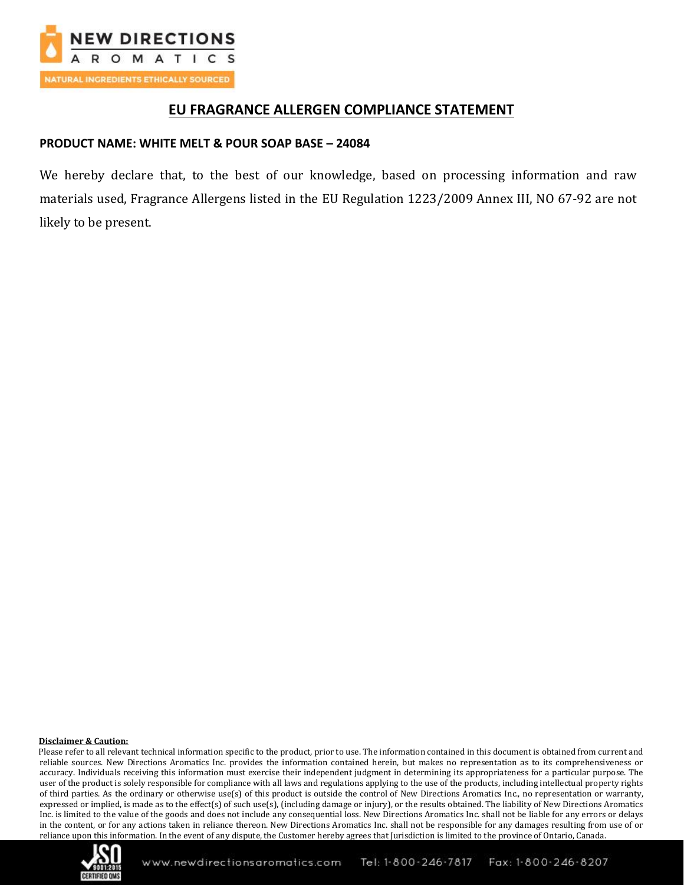

## **EU FRAGRANCE ALLERGEN COMPLIANCE STATEMENT**

## **PRODUCT NAME: WHITE MELT & POUR SOAP BASE – 24084**

We hereby declare that, to the best of our knowledge, based on processing information and raw materials used, Fragrance Allergens listed in the EU Regulation 1223/2009 Annex III, NO 67-92 are not likely to be present.

### **Disclaimer & Caution:**

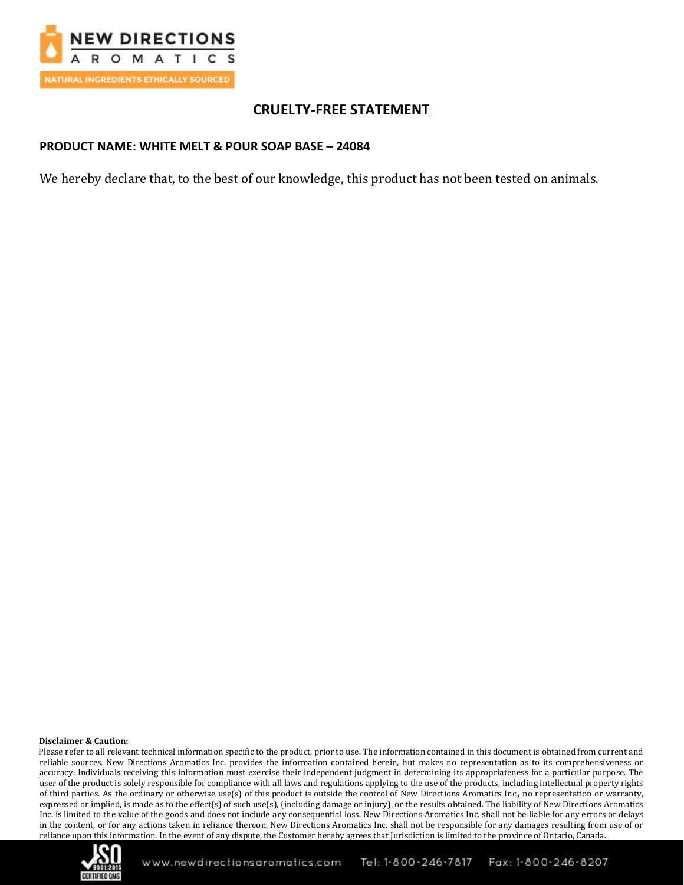

# **CRUELTY-FREE STATEMENT**

## **PRODUCT NAME: WHITE MELT & POUR SOAP BASE – 24084**

We hereby declare that, to the best of our knowledge, this product has not been tested on animals.

### **Disclaimer & Caution:**

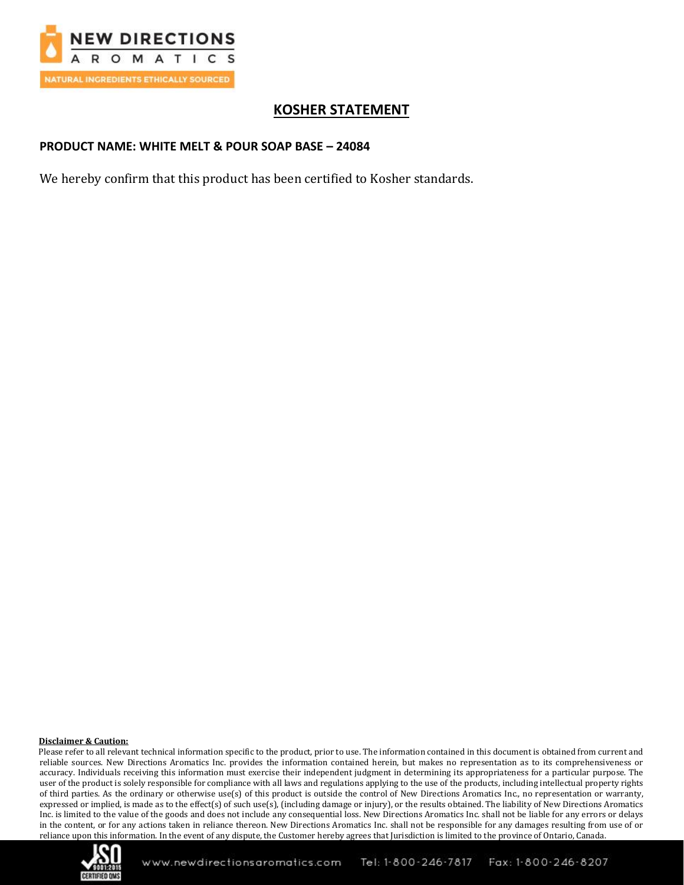

# **KOSHER STATEMENT**

## **PRODUCT NAME: WHITE MELT & POUR SOAP BASE – 24084**

We hereby confirm that this product has been certified to Kosher standards.

### **Disclaimer & Caution:**

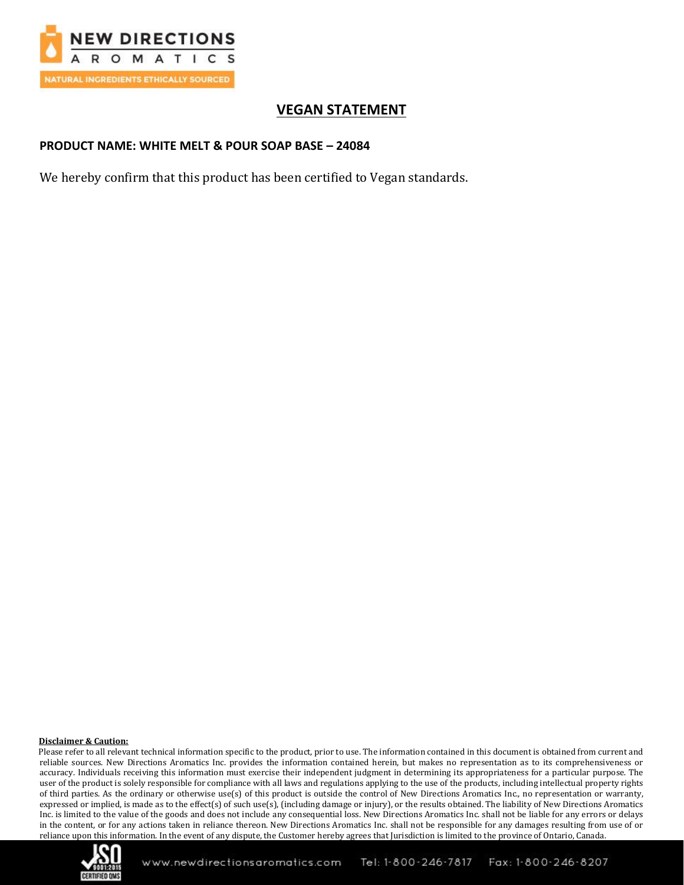

# **VEGAN STATEMENT**

## **PRODUCT NAME: WHITE MELT & POUR SOAP BASE – 24084**

We hereby confirm that this product has been certified to Vegan standards.

### **Disclaimer & Caution:**